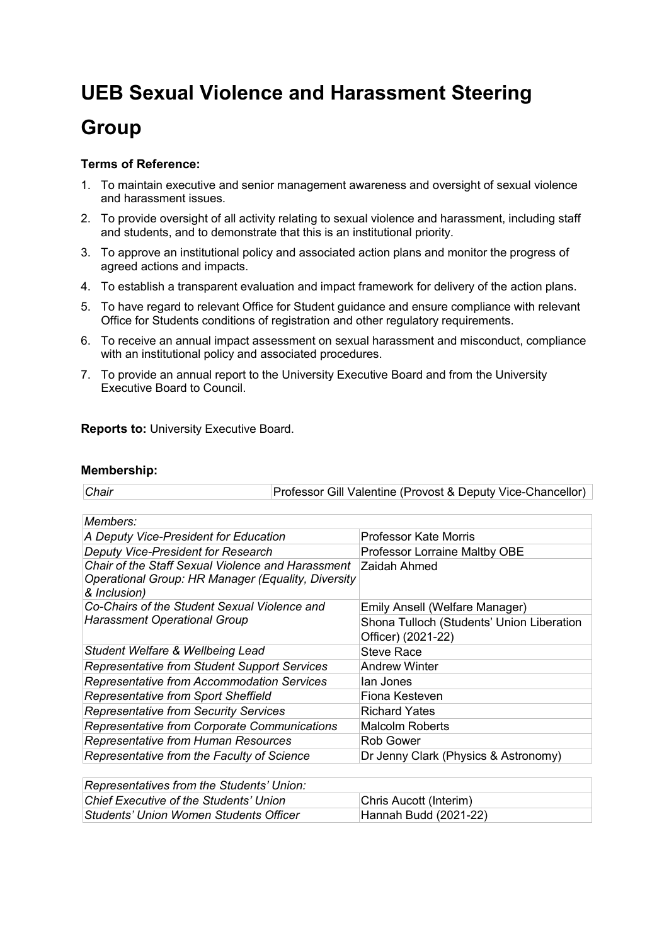## **UEB Sexual Violence and Harassment Steering Group**

## **Terms of Reference:**

- 1. To maintain executive and senior management awareness and oversight of sexual violence and harassment issues.
- 2. To provide oversight of all activity relating to sexual violence and harassment, including staff and students, and to demonstrate that this is an institutional priority.
- 3. To approve an institutional policy and associated action plans and monitor the progress of agreed actions and impacts.
- 4. To establish a transparent evaluation and impact framework for delivery of the action plans.
- 5. To have regard to relevant Office for Student guidance and ensure compliance with relevant Office for Students conditions of registration and other regulatory requirements.
- 6. To receive an annual impact assessment on sexual harassment and misconduct, compliance with an institutional policy and associated procedures.
- 7. To provide an annual report to the University Executive Board and from the University Executive Board to Council.

**Reports to:** University Executive Board.

## **Membership:**

| Chair | Professor Gill Valentine (Provost & Deputy Vice-Chancellor) |
|-------|-------------------------------------------------------------|
|-------|-------------------------------------------------------------|

| Members:                                                                                                                |                                                                 |
|-------------------------------------------------------------------------------------------------------------------------|-----------------------------------------------------------------|
| A Deputy Vice-President for Education                                                                                   | <b>Professor Kate Morris</b>                                    |
| Deputy Vice-President for Research                                                                                      | Professor Lorraine Maltby OBE                                   |
| Chair of the Staff Sexual Violence and Harassment<br>Operational Group: HR Manager (Equality, Diversity<br>& Inclusion) | Zaidah Ahmed                                                    |
| Co-Chairs of the Student Sexual Violence and                                                                            | Emily Ansell (Welfare Manager)                                  |
| <b>Harassment Operational Group</b>                                                                                     | Shona Tulloch (Students' Union Liberation<br>Officer) (2021-22) |
| Student Welfare & Wellbeing Lead                                                                                        | Steve Race                                                      |
| <b>Representative from Student Support Services</b>                                                                     | <b>Andrew Winter</b>                                            |
| Representative from Accommodation Services                                                                              | lan Jones                                                       |
| Representative from Sport Sheffield                                                                                     | Fiona Kesteven                                                  |
| <b>Representative from Security Services</b>                                                                            | <b>Richard Yates</b>                                            |
| Representative from Corporate Communications                                                                            | <b>Malcolm Roberts</b>                                          |
| Representative from Human Resources                                                                                     | Rob Gower                                                       |
| Representative from the Faculty of Science                                                                              | Dr Jenny Clark (Physics & Astronomy)                            |
| Denvesantativas fram the Chidente' Unioni                                                                               |                                                                 |

| Representatives from the Students Officit. |                        |
|--------------------------------------------|------------------------|
| Chief Executive of the Students' Union     | Chris Aucott (Interim) |
| Students' Union Women Students Officer     | Hannah Budd (2021-22)  |